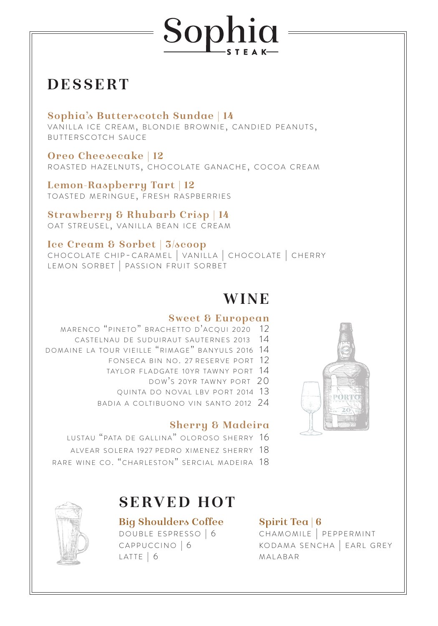# Sophia

# **DESSERT**

## **Sophia's Butterscotch Sundae | 14**

VANILLA ICE CREAM, BLONDIE BROWNIE, CANDIED PEANUTS, BUTTERSCOTCH SAUCE

**Oreo Cheesecake | 12** ROASTED HAZELNUTS, CHOCOLATE GANACHE, COCOA CREAM

**Lemon-Raspberry Tart | 12** TOASTED MERINGUE, FRESH RASPBERRIES

**Strawberry & Rhubarb Crisp | 14** OAT STREUSEL, VANILLA BEAN ICE CREAM

**Ice Cream & Sorbet | 3/scoop** CHOCOLATE CHIP-CARAMEL | VANILLA | CHOCOLATE | CHERRY LEMON SORBET | PASSION FRUIT SORBET

# **WINE**

### **Sweet & European**

- MARENCO "PINETO" BRACHETTO D'ACQUI 2020 12
	- CASTELNAU DE SUDUIRAUT SAUTERNES 2013 14
- DOMAINE LA TOUR VIEILLE "RIMAGE" BANYULS 2016 14
	- FONSECA BIN NO. 27 RESERVE PORT 12
	- TAYLOR FLADGATE 10YR TAWNY PORT 14
		- DOW'S 20YR TAWNY PORT 20
	- QUINTA DO NOVAL LBV PORT 2014 13
	- BADIA A COLTIBUONO VIN SANTO 2012 24

## **Sherry & Madeira**

- LUSTAU "PATA DE GALLINA" OLOROSO SHERRY 16
- AIVEAR SOLERA 1927 PEDRO XIMENEZ SHERRY 18
- RARE WINE CO. "CHARLESTON" SERCIAL MADEIRA 18

## **SERVED HOT**

## **Big Shoulders Coffee**

DOUBLE ESPRESSO | 6 CAPPUCCINO | 6  $LATTE$  | 6

## **Spirit Tea | 6**

CHAMOMILE | PEPPERMINT KODAMA SENCHA | EARL GREY **MALABAR**